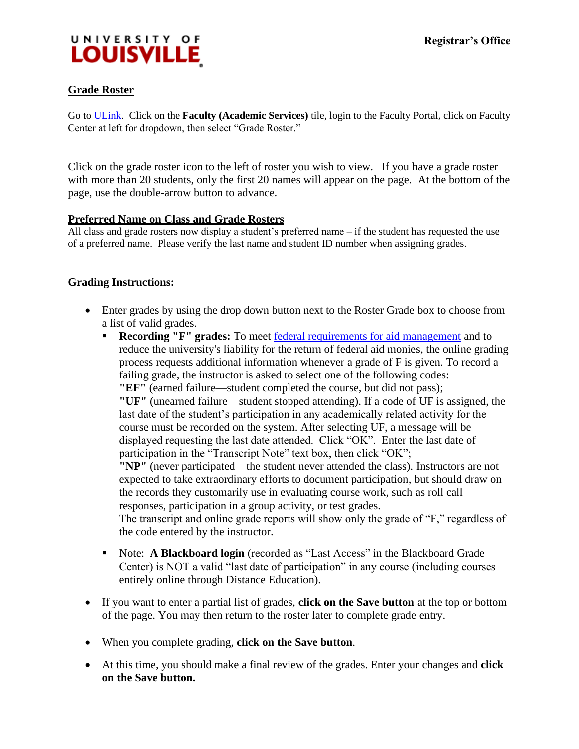

### **Grade Roster**

Go to [ULink.](http://ulink.louisville.edu/) Click on the **Faculty (Academic Services)** tile, login to the Faculty Portal[,](http://ulink.louisville.edu/) click on Faculty Center at left for dropdown, then select "Grade Roster."

Click on the grade roster icon to the left of roster you wish to view. If you have a grade roster with more than 20 students, only the first 20 names will appear on the page. At the bottom of the page, use the double-arrow button to advance.

#### **Preferred Name on Class and Grade Rosters**

All class and grade rosters now display a student's preferred name – if the student has requested the use of a preferred name. Please verify the last name and student ID number when assigning grades.

#### **Grading Instructions:**

- Enter grades by using the drop down button next to the Roster Grade box to choose from a list of valid grades.
	- **Recording "F" grades:** To meet [federal requirements for aid management](http://louisville.edu/registrar/faculty-staff/post) and to reduce the university's liability for the return of federal aid monies, the online grading process requests additional information whenever a grade of F is given. To record a failing grade, the instructor is asked to select one of the following codes: **"EF"** (earned failure—student completed the course, but did not pass); **"UF"** (unearned failure—student stopped attending). If a code of UF is assigned, the last date of the student's participation in any academically related activity for the course must be recorded on the system. After selecting UF, a message will be displayed requesting the last date attended. Click "OK". Enter the last date of participation in the "Transcript Note" text box, then click "OK"; **"NP"** (never participated—the student never attended the class). Instructors are not expected to take extraordinary efforts to document participation, but should draw on the records they customarily use in evaluating course work, such as roll call responses, participation in a group activity, or test grades. The transcript and online grade reports will show only the grade of "F," regardless of the code entered by the instructor.
	- Note: **A Blackboard login** (recorded as "Last Access" in the Blackboard Grade Center) is NOT a valid "last date of participation" in any course (including courses entirely online through Distance Education).
- If you want to enter a partial list of grades, **click on the Save button** at the top or bottom of the page. You may then return to the roster later to complete grade entry.
- When you complete grading, **click on the Save button**.
- At this time, you should make a final review of the grades. Enter your changes and **click on the Save button.**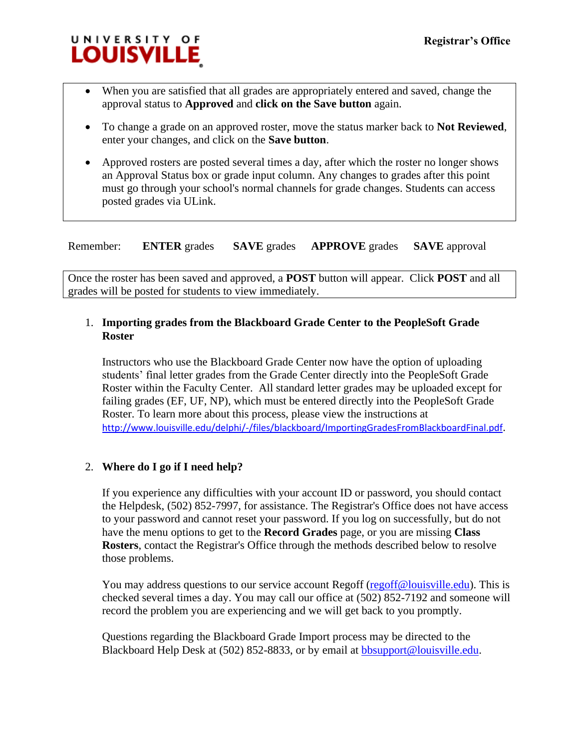

- When you are satisfied that all grades are appropriately entered and saved, change the approval status to **Approved** and **click on the Save button** again.
- To change a grade on an approved roster, move the status marker back to **Not Reviewed**, enter your changes, and click on the **Save button**.
- Approved rosters are posted several times a day, after which the roster no longer shows an Approval Status box or grade input column. Any changes to grades after this point must go through your school's normal channels for grade changes. Students can access posted grades via ULink.

Remember: **ENTER** grades **SAVE** grades **APPROVE** grades **SAVE** approval

Once the roster has been saved and approved, a **POST** button will appear. Click **POST** and all grades will be posted for students to view immediately.

# 1. **Importing grades from the Blackboard Grade Center to the PeopleSoft Grade Roster**

Instructors who use the Blackboard Grade Center now have the option of uploading students' final letter grades from the Grade Center directly into the PeopleSoft Grade Roster within the Faculty Center. All standard letter grades may be uploaded except for failing grades (EF, UF, NP), which must be entered directly into the PeopleSoft Grade Roster. To learn more about this process, please view the instructions at <http://www.louisville.edu/delphi/-/files/blackboard/ImportingGradesFromBlackboardFinal.pdf>.

# 2. **Where do I go if I need help?**

If you experience any difficulties with your account ID or password, you should contact the Helpdesk, (502) 852-7997, for assistance. The Registrar's Office does not have access to your password and cannot reset your password. If you log on successfully, but do not have the menu options to get to the **Record Grades** page, or you are missing **Class Rosters**, contact the Registrar's Office through the methods described below to resolve those problems.

You may address questions to our service account Regoff [\(regoff@louisville.edu\)](mailto:regoff@louisville.edu). This is checked several times a day. You may call our office at (502) 852-7192 and someone will record the problem you are experiencing and we will get back to you promptly.

Questions regarding the Blackboard Grade Import process may be directed to the Blackboard Help Desk at (502) 852-8833, or by email at **bbsupport@louisville.edu**.